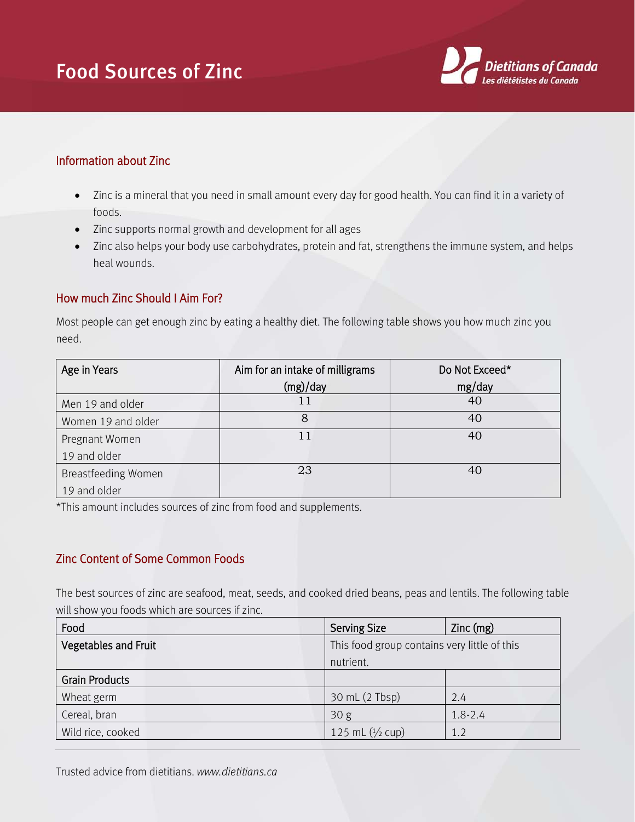## Food Sources of Zinc



## Information about Zinc

- Zinc is a mineral that you need in small amount every day for good health. You can find it in a variety of foods.
- Zinc supports normal growth and development for all ages
- Zinc also helps your body use carbohydrates, protein and fat, strengthens the immune system, and helps heal wounds.

## How much Zinc Should I Aim For?

Most people can get enough zinc by eating a healthy diet. The following table shows you how much zinc you need.

| Age in Years               | Aim for an intake of milligrams | Do Not Exceed* |
|----------------------------|---------------------------------|----------------|
|                            | (mg)/day                        | mg/day         |
| Men 19 and older           |                                 | 40             |
| Women 19 and older         |                                 | 40             |
| Pregnant Women             | 11                              | 40             |
| 19 and older               |                                 |                |
| <b>Breastfeeding Women</b> | 23                              | 40             |
| 19 and older               |                                 |                |

\*This amount includes sources of zinc from food and supplements.

## Zinc Content of Some Common Foods

The best sources of zinc are seafood, meat, seeds, and cooked dried beans, peas and lentils. The following table will show you foods which are sources if zinc.

| Food                        | <b>Serving Size</b>                          | $Zinc$ (mg) |
|-----------------------------|----------------------------------------------|-------------|
| <b>Vegetables and Fruit</b> | This food group contains very little of this |             |
|                             | nutrient.                                    |             |
| <b>Grain Products</b>       |                                              |             |
| Wheat germ                  | 30 mL (2 Tbsp)                               | 2.4         |
| Cereal, bran                | 30 <sub>g</sub>                              | $1.8 - 2.4$ |
| Wild rice, cooked           | 125 mL $(1/2$ cup)                           | 1.2         |

Trusted advice from dietitians. *www.dietitians.ca*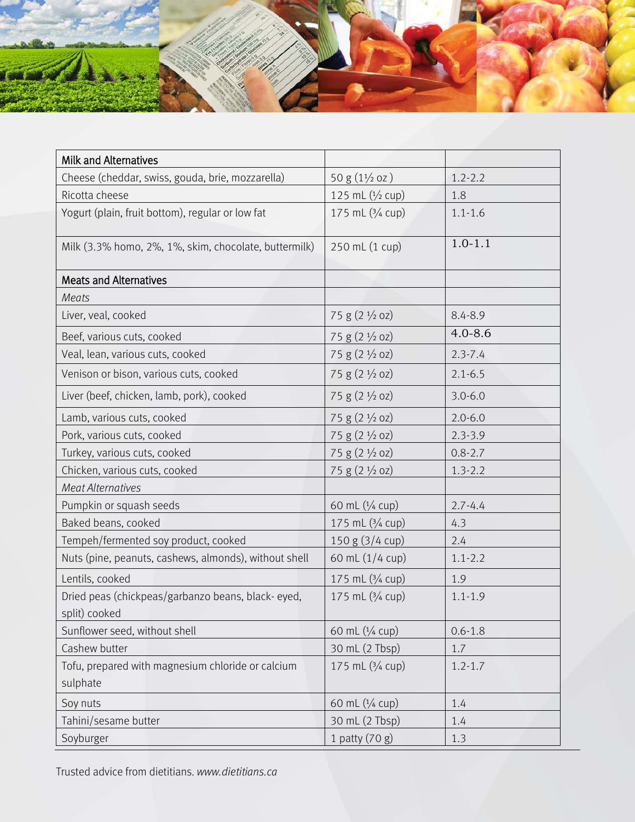

| <b>Milk and Alternatives</b>                                       |                           |             |
|--------------------------------------------------------------------|---------------------------|-------------|
| Cheese (cheddar, swiss, gouda, brie, mozzarella)                   | $50 g (1\frac{1}{2} oz)$  | $1.2 - 2.2$ |
| Ricotta cheese                                                     | 125 mL (1/2 cup)          | 1.8         |
| Yogurt (plain, fruit bottom), regular or low fat                   | 175 mL (3/4 cup)          | $1.1 - 1.6$ |
| Milk (3.3% homo, 2%, 1%, skim, chocolate, buttermilk)              | 250 mL (1 cup)            | $1.0 - 1.1$ |
| <b>Meats and Alternatives</b>                                      |                           |             |
| Meats                                                              |                           |             |
| Liver, veal, cooked                                                | 75 g (2 1/2 oz)           | $8.4 - 8.9$ |
| Beef, various cuts, cooked                                         | 75 g (2 1/2 oz)           | $4.0 - 8.6$ |
| Veal, lean, various cuts, cooked                                   | 75 g (2 1/2 oz)           | $2.3 - 7.4$ |
| Venison or bison, various cuts, cooked                             | 75 g (2 1/2 oz)           | $2.1 - 6.5$ |
| Liver (beef, chicken, lamb, pork), cooked                          | 75 g (2 1/2 oz)           | $3.0 - 6.0$ |
| Lamb, various cuts, cooked                                         | 75 g (2 1/2 oz)           | $2.0 - 6.0$ |
| Pork, various cuts, cooked                                         | 75 g (2 1/2 oz)           | $2.3 - 3.9$ |
| Turkey, various cuts, cooked                                       | 75 g (2 1/2 oz)           | $0.8 - 2.7$ |
| Chicken, various cuts, cooked                                      | $75 g (2 \frac{1}{2} oz)$ | $1.3 - 2.2$ |
| <b>Meat Alternatives</b>                                           |                           |             |
| Pumpkin or squash seeds                                            | 60 mL (1/4 cup)           | $2.7 - 4.4$ |
| Baked beans, cooked                                                | 175 mL (3/4 cup)          | 4.3         |
| Tempeh/fermented soy product, cooked                               | 150 g (3/4 cup)           | 2.4         |
| Nuts (pine, peanuts, cashews, almonds), without shell              | 60 mL (1/4 cup)           | $1.1 - 2.2$ |
| Lentils, cooked                                                    | 175 mL (3/4 cup)          | 1.9         |
| Dried peas (chickpeas/garbanzo beans, black-eyed,<br>split) cooked | 175 mL (3/4 cup)          | $1.1 - 1.9$ |
| Sunflower seed, without shell                                      | 60 mL (1/4 cup)           | $0.6 - 1.8$ |
| Cashew butter                                                      | 30 mL (2 Tbsp)            | 1.7         |
| Tofu, prepared with magnesium chloride or calcium<br>sulphate      | 175 mL (3/4 cup)          | $1.2 - 1.7$ |
| Soy nuts                                                           | 60 mL (1/4 cup)           | 1.4         |
| Tahini/sesame butter                                               | 30 mL (2 Tbsp)            | 1.4         |
| Soyburger                                                          | 1 patty $(70 g)$          | 1.3         |

Trusted advice from dietitians. *www.dietitians.ca*